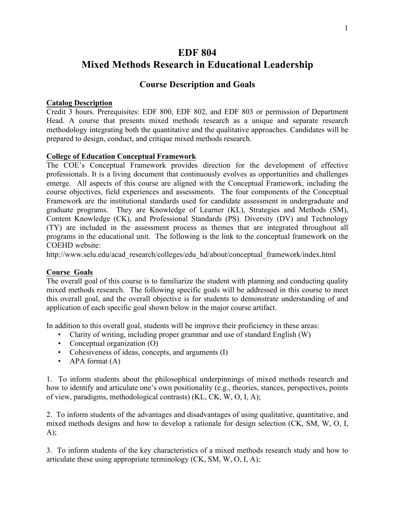# **EDF 804 Mixed Methods Research in Educational Leadership**

# **Course Description and Goals**

### **Catalog Description**

Credit 3 hours. Prerequisites: EDF 800, EDF 802, and EDF 803 or permission of Department Head. A course that presents mixed methods research as a unique and separate research methodology integrating both the quantitative and the qualitative approaches. Candidates will be prepared to design, conduct, and critique mixed methods research.

### **College of Education Conceptual Framework**

The COE's Conceptual Framework provides direction for the development of effective professionals. It is a living document that continuously evolves as opportunities and challenges emerge. All aspects of this course are aligned with the Conceptual Framework, including the course objectives, field experiences and assessments. The four components of the Conceptual Framework are the institutional standards used for candidate assessment in undergraduate and graduate programs. They are Knowledge of Learner (KL), Strategies and Methods (SM), Content Knowledge (CK), and Professional Standards (PS). Diversity (DV) and Technology (TY) are included in the assessment process as themes that are integrated throughout all programs in the educational unit. The following is the link to the conceptual framework on the COEHD website:

http://www.selu.edu/acad\_research/colleges/edu\_hd/about/conceptual\_framework/index.html

#### **Course Goals**

The overall goal of this course is to familiarize the student with planning and conducting quality mixed methods research. The following specific goals will be addressed in this course to meet this overall goal, and the overall objective is for students to demonstrate understanding of and application of each specific goal shown below in the major course artifact.

In addition to this overall goal, students will be improve their proficiency in these areas:

- Clarity of writing, including proper grammar and use of standard English (W)
- Conceptual organization (O)
- Cohesiveness of ideas, concepts, and arguments (I)
- APA format (A)

1. To inform students about the philosophical underpinnings of mixed methods research and how to identify and articulate one's own positionality (e.g., theories, stances, perspectives, points of view, paradigms, methodological contrasts) (KL, CK, W, O, I, A);

2. To inform students of the advantages and disadvantages of using qualitative, quantitative, and mixed methods designs and how to develop a rationale for design selection (CK, SM, W, O, I,  $A)$ ;

3. To inform students of the key characteristics of a mixed methods research study and how to articulate these using appropriate terminology (CK, SM, W, O, I, A);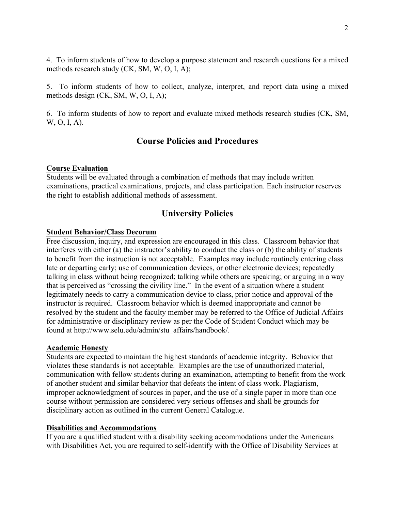4. To inform students of how to develop a purpose statement and research questions for a mixed methods research study (CK, SM, W, O, I, A);

5. To inform students of how to collect, analyze, interpret, and report data using a mixed methods design (CK, SM, W, O, I, A);

6. To inform students of how to report and evaluate mixed methods research studies (CK, SM, W, O, I, A).

# **Course Policies and Procedures**

# **Course Evaluation**

Students will be evaluated through a combination of methods that may include written examinations, practical examinations, projects, and class participation. Each instructor reserves the right to establish additional methods of assessment.

# **University Policies**

# **Student Behavior/Class Decorum**

Free discussion, inquiry, and expression are encouraged in this class. Classroom behavior that interferes with either (a) the instructor's ability to conduct the class or (b) the ability of students to benefit from the instruction is not acceptable. Examples may include routinely entering class late or departing early; use of communication devices, or other electronic devices; repeatedly talking in class without being recognized; talking while others are speaking; or arguing in a way that is perceived as "crossing the civility line." In the event of a situation where a student legitimately needs to carry a communication device to class, prior notice and approval of the instructor is required. Classroom behavior which is deemed inappropriate and cannot be resolved by the student and the faculty member may be referred to the Office of Judicial Affairs for administrative or disciplinary review as per the Code of Student Conduct which may be found at http://www.selu.edu/admin/stu\_affairs/handbook/.

## **Academic Honesty**

Students are expected to maintain the highest standards of academic integrity. Behavior that violates these standards is not acceptable. Examples are the use of unauthorized material, communication with fellow students during an examination, attempting to benefit from the work of another student and similar behavior that defeats the intent of class work. Plagiarism, improper acknowledgment of sources in paper, and the use of a single paper in more than one course without permission are considered very serious offenses and shall be grounds for disciplinary action as outlined in the current General Catalogue.

## **Disabilities and Accommodations**

If you are a qualified student with a disability seeking accommodations under the Americans with Disabilities Act, you are required to self-identify with the Office of Disability Services at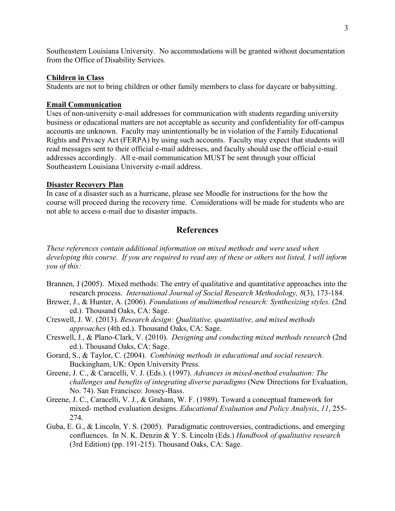Southeastern Louisiana University. No accommodations will be granted without documentation from the Office of Disability Services.

#### **Children in Class**

Students are not to bring children or other family members to class for daycare or babysitting.

#### **Email Communication**

Uses of non-university e-mail addresses for communication with students regarding university business or educational matters are not acceptable as security and confidentiality for off-campus accounts are unknown. Faculty may unintentionally be in violation of the Family Educational Rights and Privacy Act (FERPA) by using such accounts. Faculty may expect that students will read messages sent to their official e-mail addresses, and faculty should use the official e-mail addresses accordingly. All e-mail communication MUST be sent through your official Southeastern Louisiana University e-mail address.

#### **Disaster Recovery Plan**

In case of a disaster such as a hurricane, please see Moodle for instructions for the how the course will proceed during the recovery time. Considerations will be made for students who are not able to access e-mail due to disaster impacts.

### **References**

*These references contain additional information on mixed methods and were used when developing this course. If you are required to read any of these or others not listed, I will inform you of this:*

- Brannen, J (2005). Mixed methods: The entry of qualitative and quantitative approaches into the research process. *International Journal of Social Research Methodology, 8*(3), 173-184.
- Brewer, J., & Hunter, A. (2006). *Foundations of multimethod research: Synthesizing styles*. (2nd ed.). Thousand Oaks, CA: Sage.
- Creswell, J. W. (2013). *Research design: Qualitative, quantitative, and mixed methods approaches* (4th ed.). Thousand Oaks, CA: Sage.
- Creswell, J., & Plano-Clark, V. (2010). *Designing and conducting mixed methods research* (2nd ed.). Thousand Oaks, CA: Sage.
- Gorard, S., & Taylor, C. (2004). *Combining methods in educational and social research*. Buckingham, UK: Open University Press.
- Greene, J. C., & Caracelli, V. J. (Eds.). (1997). *Advances in mixed-method evaluation: The challenges and benefits of integrating diverse paradigms* (New Directions for Evaluation, No. 74). San Francisco: Jossey-Bass.
- Greene, J. C., Caracelli, V. J., & Graham, W. F. (1989). Toward a conceptual framework for mixed- method evaluation designs. *Educational Evaluation and Policy Analysis*, *11*, 255- 274.
- Guba, E. G., & Lincoln, Y. S. (2005). Paradigmatic controversies, contradictions, and emerging confluences. In N. K. Denzin & Y. S. Lincoln (Eds.) *Handbook of qualitative research* (3rd Edition) (pp. 191-215). Thousand Oaks, CA: Sage.